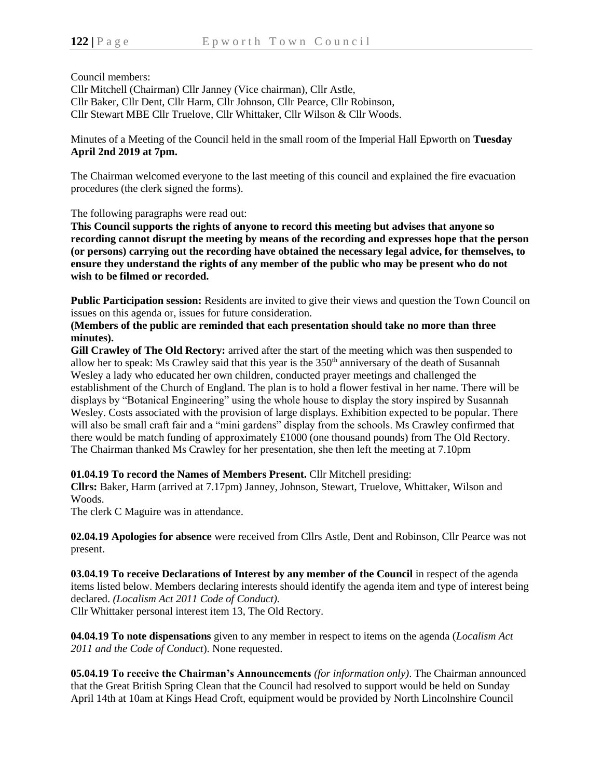Council members:

Cllr Mitchell (Chairman) Cllr Janney (Vice chairman), Cllr Astle, Cllr Baker, Cllr Dent, Cllr Harm, Cllr Johnson, Cllr Pearce, Cllr Robinson, Cllr Stewart MBE Cllr Truelove, Cllr Whittaker, Cllr Wilson & Cllr Woods.

Minutes of a Meeting of the Council held in the small room of the Imperial Hall Epworth on **Tuesday April 2nd 2019 at 7pm.**

The Chairman welcomed everyone to the last meeting of this council and explained the fire evacuation procedures (the clerk signed the forms).

The following paragraphs were read out:

**This Council supports the rights of anyone to record this meeting but advises that anyone so recording cannot disrupt the meeting by means of the recording and expresses hope that the person (or persons) carrying out the recording have obtained the necessary legal advice, for themselves, to ensure they understand the rights of any member of the public who may be present who do not wish to be filmed or recorded.**

**Public Participation session:** Residents are invited to give their views and question the Town Council on issues on this agenda or, issues for future consideration.

## **(Members of the public are reminded that each presentation should take no more than three minutes).**

**Gill Crawley of The Old Rectory:** arrived after the start of the meeting which was then suspended to allow her to speak: Ms Crawley said that this year is the 350<sup>th</sup> anniversary of the death of Susannah Wesley a lady who educated her own children, conducted prayer meetings and challenged the establishment of the Church of England. The plan is to hold a flower festival in her name. There will be displays by "Botanical Engineering" using the whole house to display the story inspired by Susannah Wesley. Costs associated with the provision of large displays. Exhibition expected to be popular. There will also be small craft fair and a "mini gardens" display from the schools. Ms Crawley confirmed that there would be match funding of approximately £1000 (one thousand pounds) from The Old Rectory. The Chairman thanked Ms Crawley for her presentation, she then left the meeting at 7.10pm

**01.04.19 To record the Names of Members Present.** Cllr Mitchell presiding:

**Cllrs:** Baker, Harm (arrived at 7.17pm) Janney, Johnson, Stewart, Truelove, Whittaker, Wilson and Woods.

The clerk C Maguire was in attendance.

**02.04.19 Apologies for absence** were received from Cllrs Astle, Dent and Robinson, Cllr Pearce was not present.

**03.04.19 To receive Declarations of Interest by any member of the Council** in respect of the agenda items listed below. Members declaring interests should identify the agenda item and type of interest being declared. *(Localism Act 2011 Code of Conduct).* Cllr Whittaker personal interest item 13, The Old Rectory.

**04.04.19 To note dispensations** given to any member in respect to items on the agenda (*Localism Act 2011 and the Code of Conduct*). None requested.

**05.04.19 To receive the Chairman's Announcements** *(for information only)*. The Chairman announced that the Great British Spring Clean that the Council had resolved to support would be held on Sunday April 14th at 10am at Kings Head Croft, equipment would be provided by North Lincolnshire Council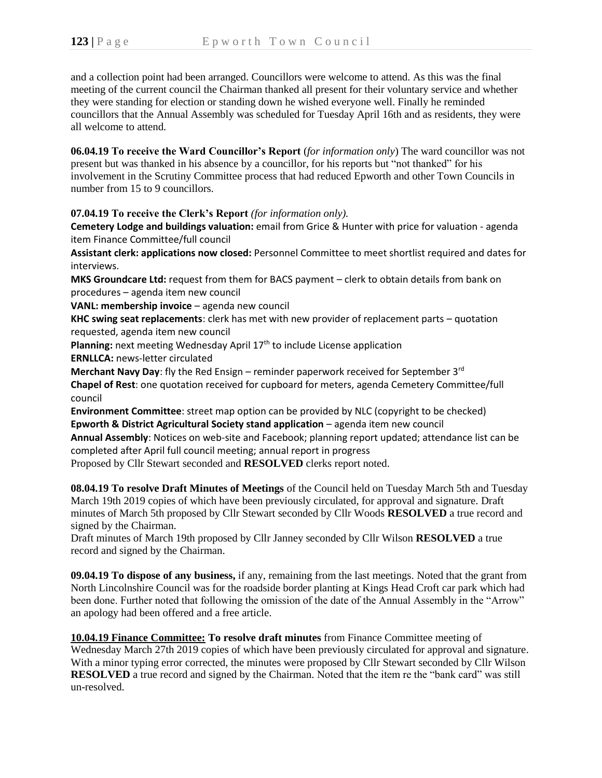and a collection point had been arranged. Councillors were welcome to attend. As this was the final meeting of the current council the Chairman thanked all present for their voluntary service and whether they were standing for election or standing down he wished everyone well. Finally he reminded councillors that the Annual Assembly was scheduled for Tuesday April 16th and as residents, they were all welcome to attend.

**06.04.19 To receive the Ward Councillor's Report** (*for information only*) The ward councillor was not present but was thanked in his absence by a councillor, for his reports but "not thanked" for his involvement in the Scrutiny Committee process that had reduced Epworth and other Town Councils in number from 15 to 9 councillors.

**07.04.19 To receive the Clerk's Report** *(for information only).*

**Cemetery Lodge and buildings valuation:** email from Grice & Hunter with price for valuation - agenda item Finance Committee/full council

**Assistant clerk: applications now closed:** Personnel Committee to meet shortlist required and dates for interviews.

**MKS Groundcare Ltd:** request from them for BACS payment – clerk to obtain details from bank on procedures – agenda item new council

**VANL: membership invoice** – agenda new council

**KHC swing seat replacements**: clerk has met with new provider of replacement parts – quotation requested, agenda item new council

Planning: next meeting Wednesday April 17<sup>th</sup> to include License application

**ERNLLCA:** news-letter circulated

**Merchant Navy Day**: fly the Red Ensign – reminder paperwork received for September 3rd **Chapel of Rest**: one quotation received for cupboard for meters, agenda Cemetery Committee/full council

**Environment Committee**: street map option can be provided by NLC (copyright to be checked) **Epworth & District Agricultural Society stand application** – agenda item new council **Annual Assembly**: Notices on web-site and Facebook; planning report updated; attendance list can be

completed after April full council meeting; annual report in progress

Proposed by Cllr Stewart seconded and **RESOLVED** clerks report noted.

**08.04.19 To resolve Draft Minutes of Meetings** of the Council held on Tuesday March 5th and Tuesday March 19th 2019 copies of which have been previously circulated, for approval and signature. Draft minutes of March 5th proposed by Cllr Stewart seconded by Cllr Woods **RESOLVED** a true record and signed by the Chairman.

Draft minutes of March 19th proposed by Cllr Janney seconded by Cllr Wilson **RESOLVED** a true record and signed by the Chairman.

**09.04.19 To dispose of any business,** if any, remaining from the last meetings. Noted that the grant from North Lincolnshire Council was for the roadside border planting at Kings Head Croft car park which had been done. Further noted that following the omission of the date of the Annual Assembly in the "Arrow" an apology had been offered and a free article.

**10.04.19 Finance Committee: To resolve draft minutes** from Finance Committee meeting of Wednesday March 27th 2019 copies of which have been previously circulated for approval and signature. With a minor typing error corrected, the minutes were proposed by Cllr Stewart seconded by Cllr Wilson **RESOLVED** a true record and signed by the Chairman. Noted that the item re the "bank card" was still un-resolved.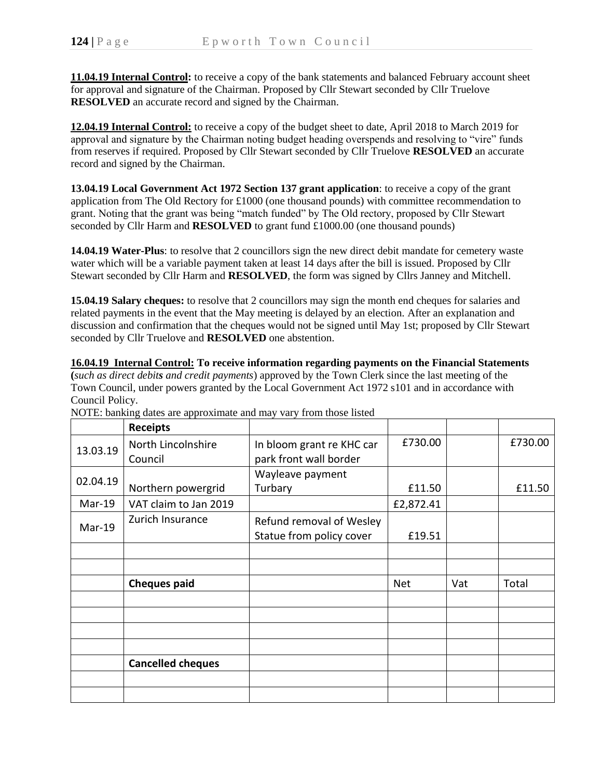**11.04.19 Internal Control:** to receive a copy of the bank statements and balanced February account sheet for approval and signature of the Chairman. Proposed by Cllr Stewart seconded by Cllr Truelove **RESOLVED** an accurate record and signed by the Chairman.

**12.04.19 Internal Control:** to receive a copy of the budget sheet to date, April 2018 to March 2019 for approval and signature by the Chairman noting budget heading overspends and resolving to "vire" funds from reserves if required. Proposed by Cllr Stewart seconded by Cllr Truelove **RESOLVED** an accurate record and signed by the Chairman.

**13.04.19 Local Government Act 1972 Section 137 grant application**: to receive a copy of the grant application from The Old Rectory for £1000 (one thousand pounds) with committee recommendation to grant. Noting that the grant was being "match funded" by The Old rectory, proposed by Cllr Stewart seconded by Cllr Harm and **RESOLVED** to grant fund £1000.00 (one thousand pounds)

**14.04.19 Water-Plus**: to resolve that 2 councillors sign the new direct debit mandate for cemetery waste water which will be a variable payment taken at least 14 days after the bill is issued. Proposed by Cllr Stewart seconded by Cllr Harm and **RESOLVED**, the form was signed by Cllrs Janney and Mitchell.

**15.04.19 Salary cheques:** to resolve that 2 councillors may sign the month end cheques for salaries and related payments in the event that the May meeting is delayed by an election. After an explanation and discussion and confirmation that the cheques would not be signed until May 1st; proposed by Cllr Stewart seconded by Cllr Truelove and **RESOLVED** one abstention.

**16.04.19 Internal Control: To receive information regarding payments on the Financial Statements (***such as direct debits and credit payments*) approved by the Town Clerk since the last meeting of the Town Council, under powers granted by the Local Government Act 1972 s101 and in accordance with Council Policy.

|          | <b>Receipts</b>          |                           |            |     |         |
|----------|--------------------------|---------------------------|------------|-----|---------|
| 13.03.19 | North Lincolnshire       | In bloom grant re KHC car | £730.00    |     | £730.00 |
|          | Council                  | park front wall border    |            |     |         |
| 02.04.19 |                          | Wayleave payment          |            |     |         |
|          | Northern powergrid       | Turbary                   | £11.50     |     | £11.50  |
| $Mar-19$ | VAT claim to Jan 2019    |                           | £2,872.41  |     |         |
| Mar-19   | Zurich Insurance         | Refund removal of Wesley  |            |     |         |
|          |                          | Statue from policy cover  | £19.51     |     |         |
|          |                          |                           |            |     |         |
|          |                          |                           |            |     |         |
|          | <b>Cheques paid</b>      |                           | <b>Net</b> | Vat | Total   |
|          |                          |                           |            |     |         |
|          |                          |                           |            |     |         |
|          |                          |                           |            |     |         |
|          |                          |                           |            |     |         |
|          | <b>Cancelled cheques</b> |                           |            |     |         |
|          |                          |                           |            |     |         |
|          |                          |                           |            |     |         |

NOTE: banking dates are approximate and may vary from those listed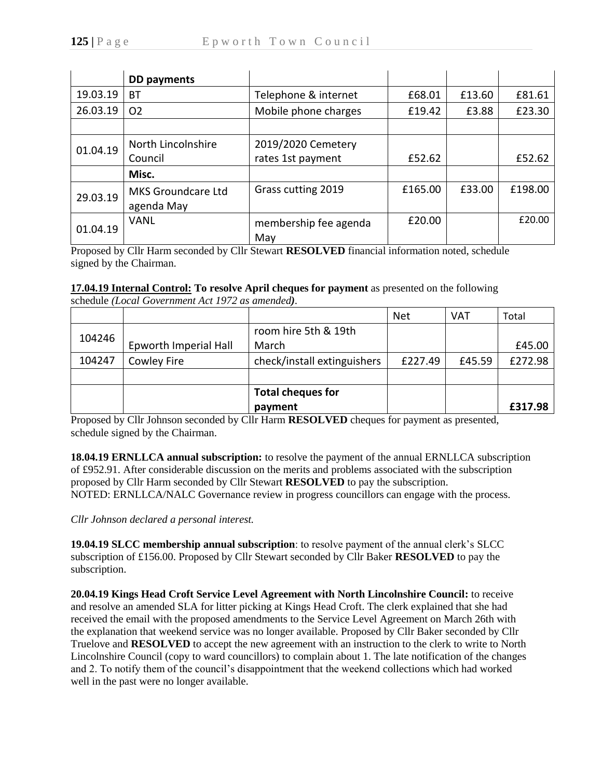|          | DD payments               |                       |         |        |         |
|----------|---------------------------|-----------------------|---------|--------|---------|
| 19.03.19 | BT                        | Telephone & internet  | £68.01  | £13.60 | £81.61  |
| 26.03.19 | O <sub>2</sub>            | Mobile phone charges  | £19.42  | £3.88  | £23.30  |
|          |                           |                       |         |        |         |
| 01.04.19 | North Lincolnshire        | 2019/2020 Cemetery    |         |        |         |
|          | Council                   | rates 1st payment     | £52.62  |        | £52.62  |
|          | Misc.                     |                       |         |        |         |
| 29.03.19 | <b>MKS Groundcare Ltd</b> | Grass cutting 2019    | £165.00 | £33.00 | £198.00 |
|          | agenda May                |                       |         |        |         |
| 01.04.19 | <b>VANL</b>               | membership fee agenda | £20.00  |        | £20.00  |
|          |                           | May                   |         |        |         |

Proposed by Cllr Harm seconded by Cllr Stewart **RESOLVED** financial information noted, schedule signed by the Chairman.

## **17.04.19 Internal Control: To resolve April cheques for payment** as presented on the following

|        |                       |                             | <b>Net</b> | <b>VAT</b> | Total   |
|--------|-----------------------|-----------------------------|------------|------------|---------|
| 104246 |                       | room hire 5th & 19th        |            |            |         |
|        | Epworth Imperial Hall | March                       |            |            | £45.00  |
| 104247 | Cowley Fire           | check/install extinguishers | £227.49    | £45.59     | £272.98 |
|        |                       |                             |            |            |         |
|        |                       | <b>Total cheques for</b>    |            |            |         |
|        |                       | payment                     |            |            | £317.98 |

schedule *(Local Government Act 1972 as amended).*

Proposed by Cllr Johnson seconded by Cllr Harm **RESOLVED** cheques for payment as presented, schedule signed by the Chairman.

**18.04.19 ERNLLCA annual subscription:** to resolve the payment of the annual ERNLLCA subscription of £952.91. After considerable discussion on the merits and problems associated with the subscription proposed by Cllr Harm seconded by Cllr Stewart **RESOLVED** to pay the subscription. NOTED: ERNLLCA/NALC Governance review in progress councillors can engage with the process.

*Cllr Johnson declared a personal interest.*

**19.04.19 SLCC membership annual subscription**: to resolve payment of the annual clerk's SLCC subscription of £156.00. Proposed by Cllr Stewart seconded by Cllr Baker **RESOLVED** to pay the subscription.

**20.04.19 Kings Head Croft Service Level Agreement with North Lincolnshire Council:** to receive and resolve an amended SLA for litter picking at Kings Head Croft. The clerk explained that she had received the email with the proposed amendments to the Service Level Agreement on March 26th with the explanation that weekend service was no longer available. Proposed by Cllr Baker seconded by Cllr Truelove and **RESOLVED** to accept the new agreement with an instruction to the clerk to write to North Lincolnshire Council (copy to ward councillors) to complain about 1. The late notification of the changes and 2. To notify them of the council's disappointment that the weekend collections which had worked well in the past were no longer available.